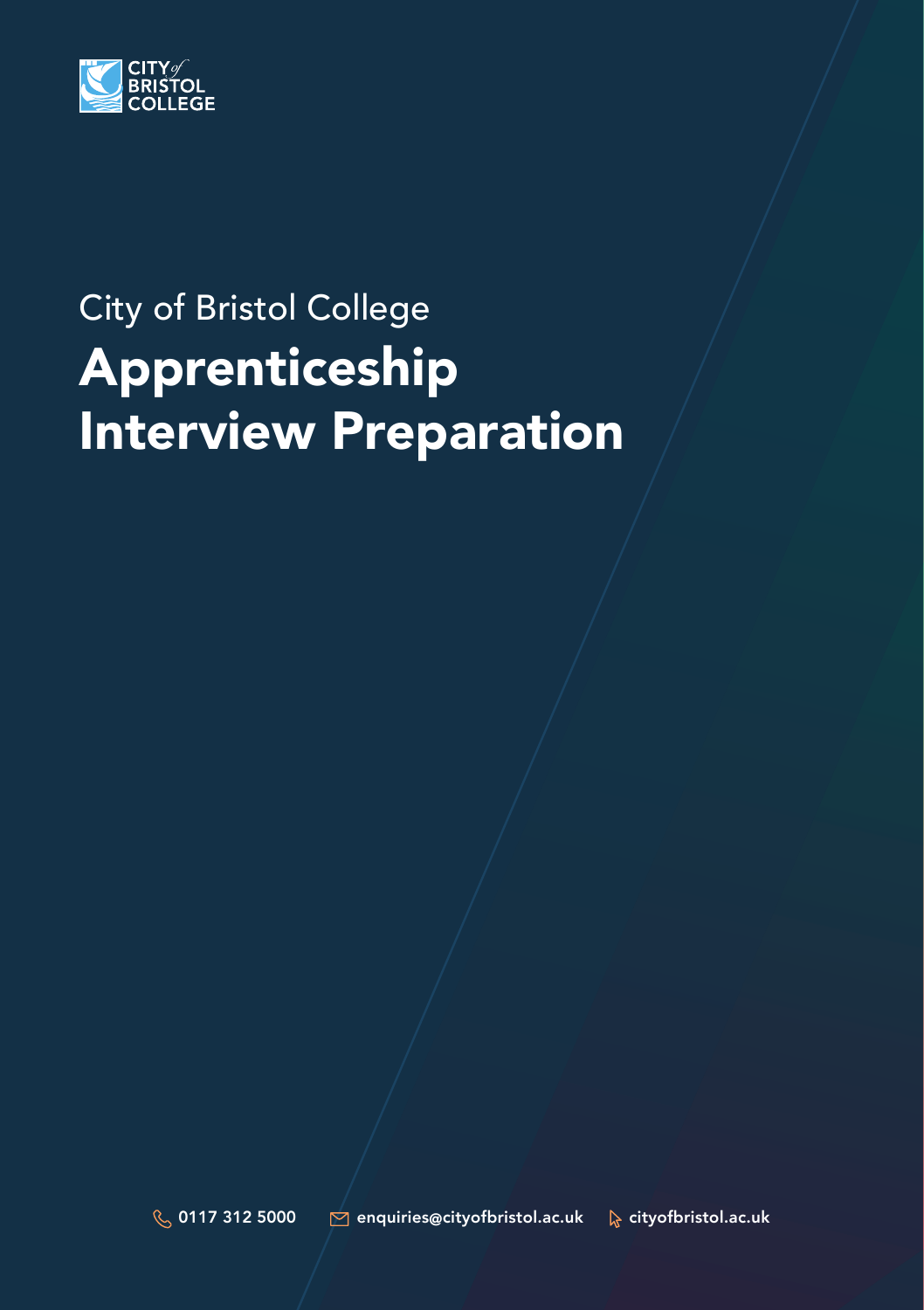

# City of Bristol College Apprenticeship Interview Preparation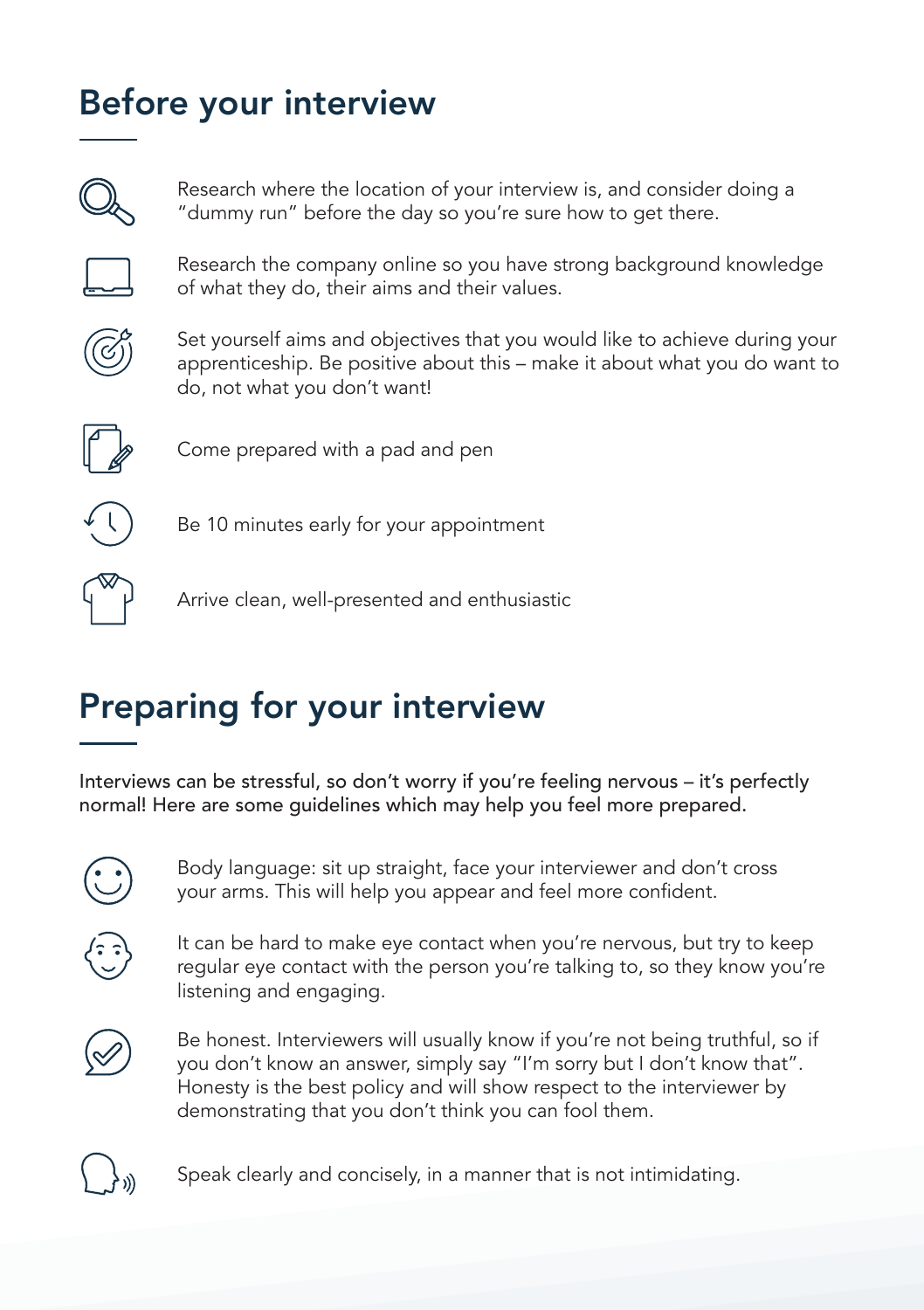#### Before your interview



Research where the location of your interview is, and consider doing a "dummy run" before the day so you're sure how to get there.



Research the company online so you have strong background knowledge of what they do, their aims and their values.



Set yourself aims and objectives that you would like to achieve during your apprenticeship. Be positive about this – make it about what you do want to do, not what you don't want!



Come prepared with a pad and pen



Be 10 minutes early for your appointment



Arrive clean, well-presented and enthusiastic

### Preparing for your interview

Interviews can be stressful, so don't worry if you're feeling nervous – it's perfectly normal! Here are some guidelines which may help you feel more prepared.



Body language: sit up straight, face your interviewer and don't cross your arms. This will help you appear and feel more confident.



It can be hard to make eye contact when you're nervous, but try to keep regular eye contact with the person you're talking to, so they know you're listening and engaging.



Be honest. Interviewers will usually know if you're not being truthful, so if you don't know an answer, simply say "I'm sorry but I don't know that". Honesty is the best policy and will show respect to the interviewer by demonstrating that you don't think you can fool them.



Speak clearly and concisely, in a manner that is not intimidating.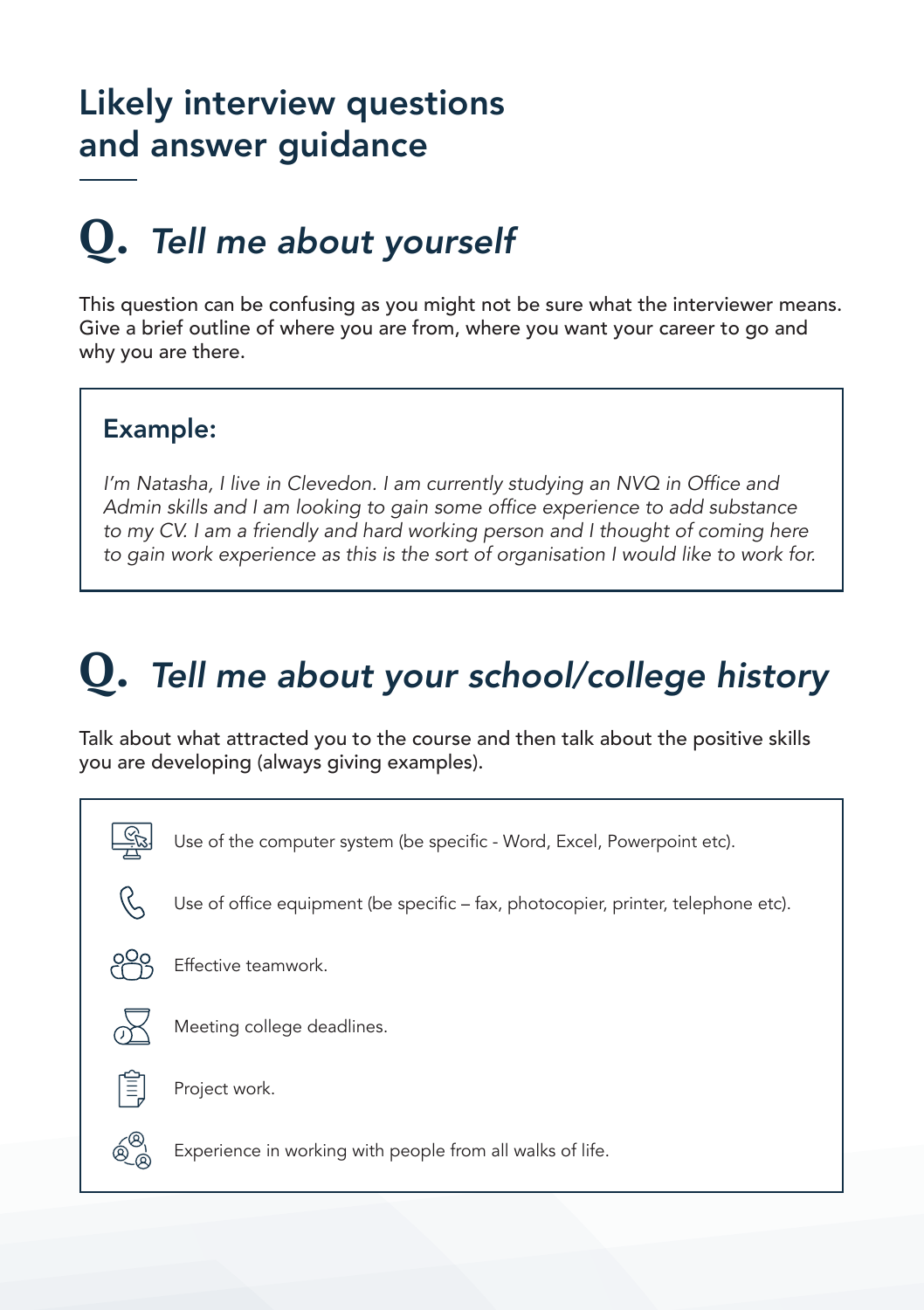#### Likely interview questions and answer guidance

## *Tell me about yourself* **Q.**

This question can be confusing as you might not be sure what the interviewer means. Give a brief outline of where you are from, where you want your career to go and why you are there.

#### Example:

I'm Natasha, I live in Clevedon. I am currently studying an NVQ in Office and Admin skills and I am looking to gain some office experience to add substance to my CV. I am a friendly and hard working person and I thought of coming here to gain work experience as this is the sort of organisation I would like to work for.

## *Tell me about your school/college history* **Q.**

Talk about what attracted you to the course and then talk about the positive skills you are developing (always giving examples).

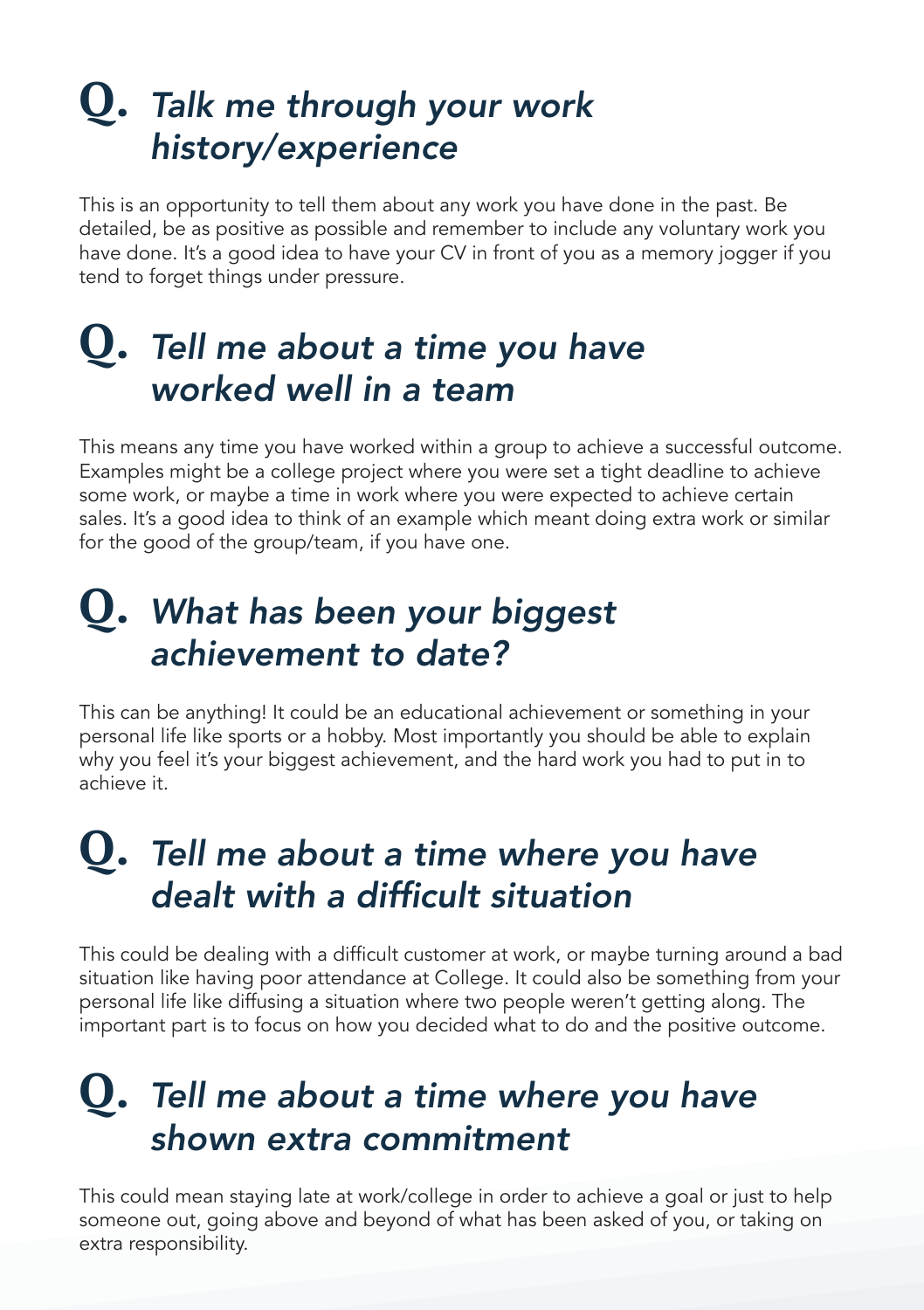### *Talk me through your work*  **Q.** *history/experience*

This is an opportunity to tell them about any work you have done in the past. Be detailed, be as positive as possible and remember to include any voluntary work you have done. It's a good idea to have your CV in front of you as a memory jogger if you tend to forget things under pressure.

#### *Tell me about a time you have*  **Q.** *worked well in a team*

This means any time you have worked within a group to achieve a successful outcome. Examples might be a college project where you were set a tight deadline to achieve some work, or maybe a time in work where you were expected to achieve certain sales. It's a good idea to think of an example which meant doing extra work or similar for the good of the group/team, if you have one.

#### *What has been your biggest*  **Q.***achievement to date?*

This can be anything! It could be an educational achievement or something in your personal life like sports or a hobby. Most importantly you should be able to explain why you feel it's your biggest achievement, and the hard work you had to put in to achieve it.

#### *Tell me about a time where you have*  **Q.** dealt with a difficult situation

This could be dealing with a difficult customer at work, or maybe turning around a bad situation like having poor attendance at College. It could also be something from your personal life like diffusing a situation where two people weren't getting along. The important part is to focus on how you decided what to do and the positive outcome.

#### *Tell me about a time where you have*  **Q.** *shown extra commitment*

This could mean staying late at work/college in order to achieve a goal or just to help someone out, going above and beyond of what has been asked of you, or taking on extra responsibility.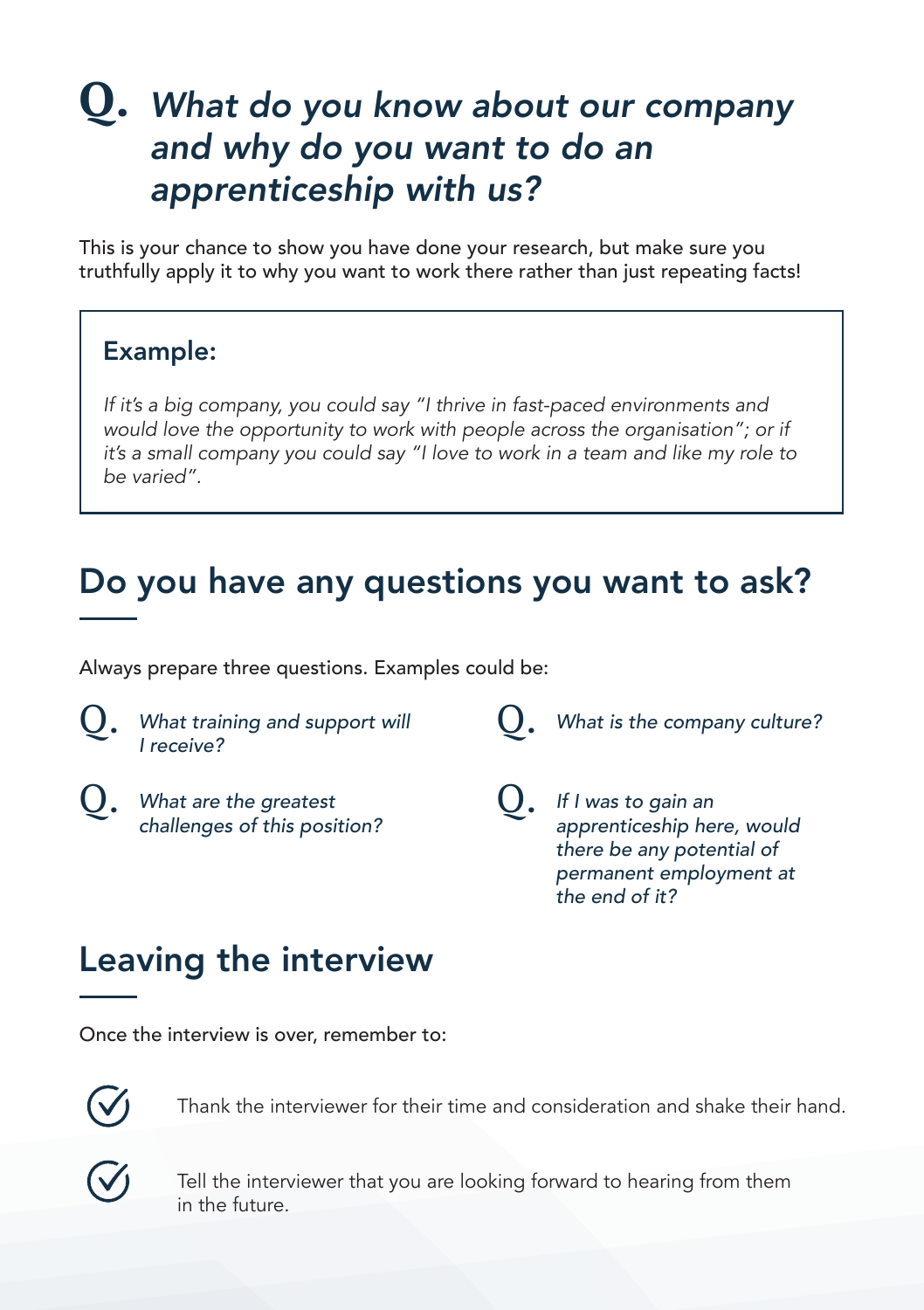#### *What do you know about our company*  **Q.** *and why do you want to do an apprenticeship with us?*

This is your chance to show you have done your research, but make sure you truthfully apply it to why you want to work there rather than just repeating facts!

#### Example:

If it's a big company, you could say "I thrive in fast-paced environments and would love the opportunity to work with people across the organisation"; or if it's a small company you could say "I love to work in a team and like my role to be varied".

#### Do you have any questions you want to ask?

Always prepare three questions. Examples could be:

- $Q.$  What training and support will  $Q.$ *I receive?*
- **Q.** What are the greatest **Q.** *challenges of this position?*

*What is the company culture?*

*If I was to gain an apprenticeship here, would there be any potential of permanent employment at the end of it?*

#### Leaving the interview

Once the interview is over, remember to:



Thank the interviewer for their time and consideration and shake their hand.

Tell the interviewer that you are looking forward to hearing from them in the future.